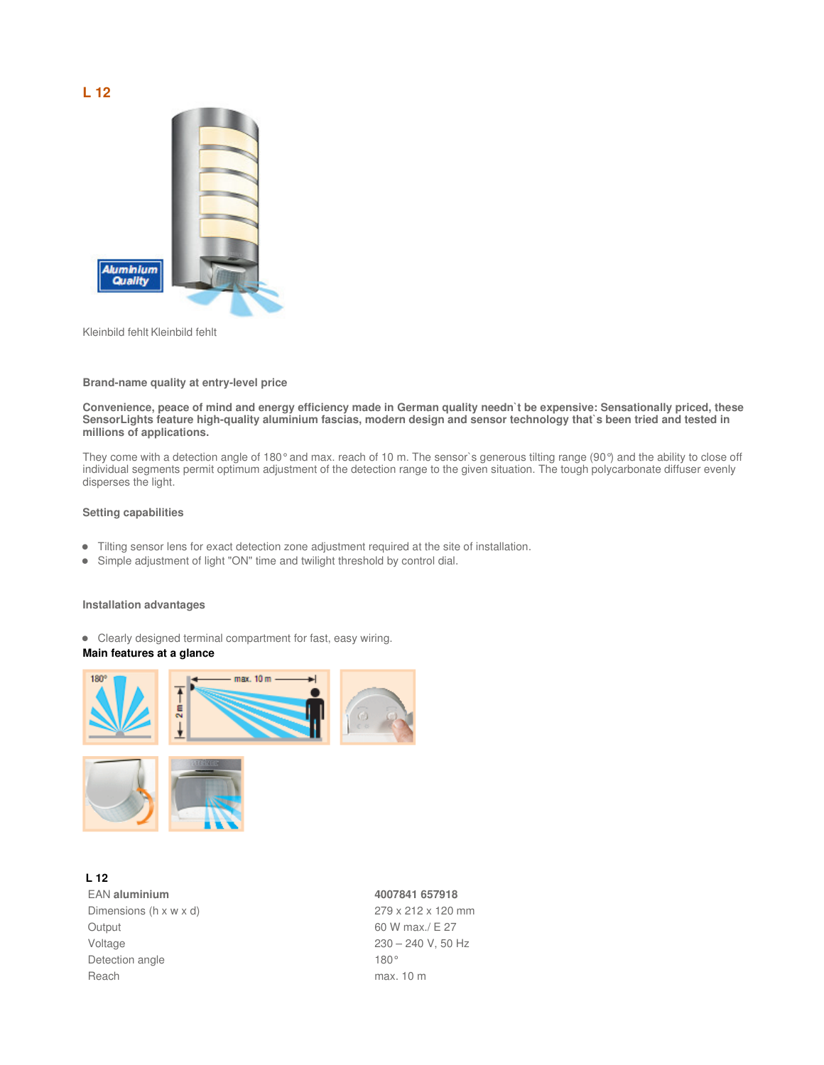# **L 12**



Kleinbild fehlt Kleinbild fehlt

#### **Brand-name quality at entry-level price**

**Convenience, peace of mind and energy efficiency made in German quality needn`t be expensive: Sensationally priced, these SensorLights feature high-quality aluminium fascias, modern design and sensor technology that`s been tried and tested in millions of applications.**

They come with a detection angle of 180° and max. reach of 10 m. The sensor's generous tilting range (90°) and the ability to close off individual segments permit optimum adjustment of the detection range to the given situation. The tough polycarbonate diffuser evenly disperses the light.

### **Setting capabilities**

- Tilting sensor lens for exact detection zone adjustment required at the site of installation.
- Simple adjustment of light "ON" time and twilight threshold by control dial.

#### **Installation advantages**

Clearly designed terminal compartment for fast, easy wiring.

#### **Main features at a glance**



## **L 12**

EAN **aluminium 4007841 657918**  Dimensions (h x w x d) 279 x 212 x 120 mm Output 60 W max./ E 27 Voltage 230 – 240 V, 50 Hz Detection angle 180° Reach max. 10 m